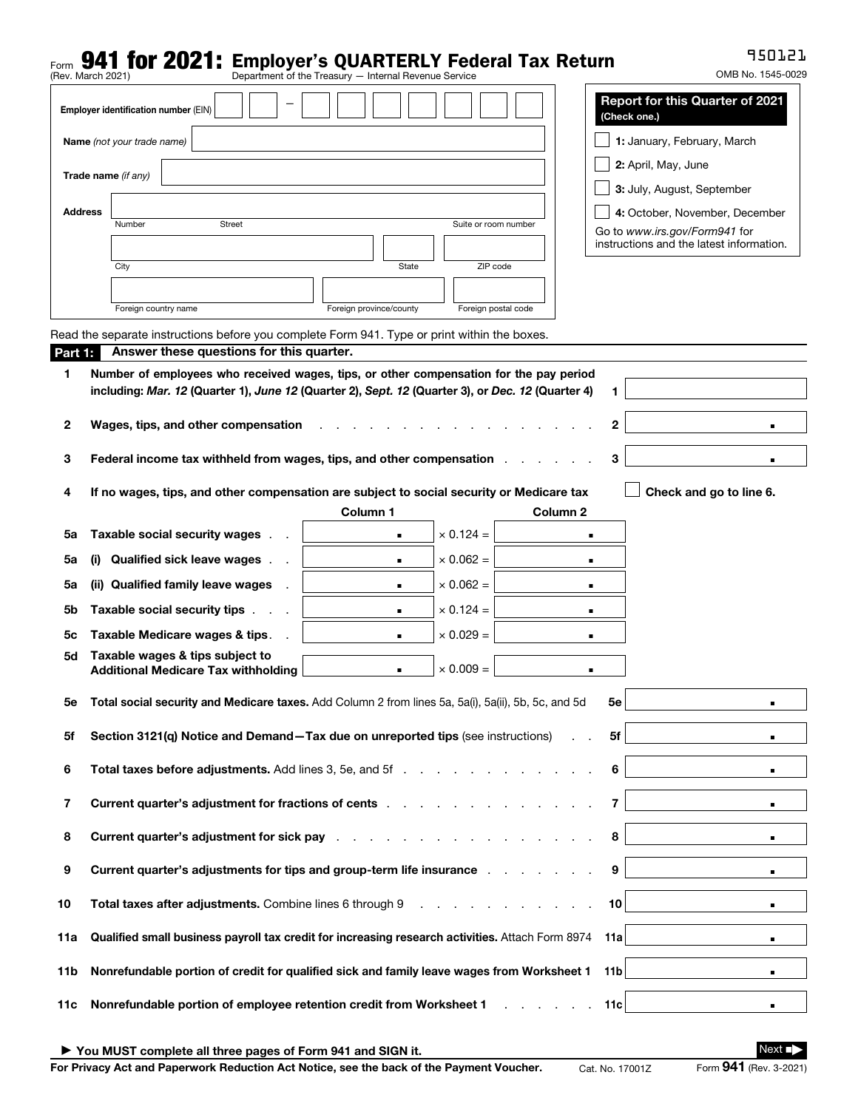## Form **941 for 2021:** Employer's QUARTERLY Federal Tax Return<br>(Rev. March 2021)<br>**Department of the Treasury — Internal Revenue Service**

950121

|                                                                                                | (Rev. March 2021)                                                 |                                                                                                                                                                                                                                    | Department of the Treasury - Internal Revenue Service |                                          |                     |                     | OMB No. 1545-0029                                               |  |  |
|------------------------------------------------------------------------------------------------|-------------------------------------------------------------------|------------------------------------------------------------------------------------------------------------------------------------------------------------------------------------------------------------------------------------|-------------------------------------------------------|------------------------------------------|---------------------|---------------------|-----------------------------------------------------------------|--|--|
| <b>Report for this Quarter of 2021</b><br>Employer identification number (EIN)<br>(Check one.) |                                                                   |                                                                                                                                                                                                                                    |                                                       |                                          |                     |                     |                                                                 |  |  |
| 1: January, February, March<br>Name (not your trade name)                                      |                                                                   |                                                                                                                                                                                                                                    |                                                       |                                          |                     |                     |                                                                 |  |  |
|                                                                                                | Trade name (if any)                                               |                                                                                                                                                                                                                                    | 2: April, May, June                                   |                                          |                     |                     |                                                                 |  |  |
|                                                                                                |                                                                   |                                                                                                                                                                                                                                    |                                                       | 3: July, August, September               |                     |                     |                                                                 |  |  |
|                                                                                                | <b>Address</b><br><b>Street</b><br>Number<br>Suite or room number |                                                                                                                                                                                                                                    |                                                       |                                          |                     |                     | 4: October, November, December<br>Go to www.irs.gov/Form941 for |  |  |
|                                                                                                |                                                                   |                                                                                                                                                                                                                                    |                                                       | instructions and the latest information. |                     |                     |                                                                 |  |  |
|                                                                                                | City                                                              |                                                                                                                                                                                                                                    | State                                                 | ZIP code                                 |                     |                     |                                                                 |  |  |
|                                                                                                |                                                                   |                                                                                                                                                                                                                                    |                                                       |                                          |                     |                     |                                                                 |  |  |
|                                                                                                |                                                                   | Foreign country name                                                                                                                                                                                                               | Foreign province/county                               |                                          | Foreign postal code |                     |                                                                 |  |  |
| Part 1:                                                                                        |                                                                   | Read the separate instructions before you complete Form 941. Type or print within the boxes.<br>Answer these questions for this quarter.                                                                                           |                                                       |                                          |                     |                     |                                                                 |  |  |
| 1                                                                                              |                                                                   | Number of employees who received wages, tips, or other compensation for the pay period                                                                                                                                             |                                                       |                                          |                     |                     |                                                                 |  |  |
|                                                                                                |                                                                   | including: Mar. 12 (Quarter 1), June 12 (Quarter 2), Sept. 12 (Quarter 3), or Dec. 12 (Quarter 4)                                                                                                                                  |                                                       |                                          |                     | 1                   |                                                                 |  |  |
| 2                                                                                              |                                                                   | Wages, tips, and other compensation                                                                                                                                                                                                |                                                       |                                          |                     | $\mathbf{2}$        |                                                                 |  |  |
|                                                                                                |                                                                   |                                                                                                                                                                                                                                    |                                                       |                                          |                     | 3                   |                                                                 |  |  |
| 3                                                                                              |                                                                   | Federal income tax withheld from wages, tips, and other compensation                                                                                                                                                               |                                                       |                                          |                     |                     |                                                                 |  |  |
| 4                                                                                              |                                                                   | If no wages, tips, and other compensation are subject to social security or Medicare tax                                                                                                                                           |                                                       |                                          |                     |                     | Check and go to line 6.                                         |  |  |
|                                                                                                |                                                                   | Taxable social security wages                                                                                                                                                                                                      | Column 1                                              | $\times$ 0.124 =                         | Column <sub>2</sub> |                     |                                                                 |  |  |
| 5a                                                                                             |                                                                   | <b>Qualified sick leave wages</b>                                                                                                                                                                                                  | ٠                                                     | $\times$ 0.062 =                         |                     | ٠                   |                                                                 |  |  |
| 5a                                                                                             | (i)                                                               | (ii) Qualified family leave wages                                                                                                                                                                                                  | $\blacksquare$                                        | $\times$ 0.062 =                         |                     | $\blacksquare$      |                                                                 |  |  |
| 5a<br>5b                                                                                       |                                                                   | Taxable social security tips.                                                                                                                                                                                                      | ٠<br>$\blacksquare$                                   | $\times$ 0.124 =                         |                     | ٠                   |                                                                 |  |  |
| 5с                                                                                             |                                                                   | Taxable Medicare wages & tips.                                                                                                                                                                                                     | $\blacksquare$                                        | $\times$ 0.029 =                         |                     | ٠<br>$\blacksquare$ |                                                                 |  |  |
| 5d                                                                                             |                                                                   | Taxable wages & tips subject to                                                                                                                                                                                                    |                                                       |                                          |                     |                     |                                                                 |  |  |
|                                                                                                |                                                                   | <b>Additional Medicare Tax withholding</b>                                                                                                                                                                                         | $\blacksquare$                                        | $\times$ 0.009 =                         |                     | ٠                   |                                                                 |  |  |
| bе                                                                                             |                                                                   | Total social security and Medicare taxes. Add Column 2 from lines 5a, 5a(i), 5a(ii), 5b, 5c, and 5d                                                                                                                                |                                                       |                                          |                     | 5e ∣                |                                                                 |  |  |
| 5f                                                                                             |                                                                   | Section 3121(q) Notice and Demand-Tax due on unreported tips (see instructions)                                                                                                                                                    |                                                       |                                          |                     | 5f                  |                                                                 |  |  |
|                                                                                                |                                                                   |                                                                                                                                                                                                                                    |                                                       |                                          |                     |                     |                                                                 |  |  |
| 6                                                                                              |                                                                   | Total taxes before adjustments. Add lines 3, 5e, and 5f                                                                                                                                                                            |                                                       |                                          |                     |                     |                                                                 |  |  |
| 7                                                                                              |                                                                   | Current quarter's adjustment for fractions of cents                                                                                                                                                                                |                                                       |                                          |                     | 7                   |                                                                 |  |  |
| 8                                                                                              |                                                                   | <b>Current quarter's adjustment for sick pay</b> entering the state of the state of the state of the state of the state of the state of the state of the state of the state of the state of the state of the state of the state of |                                                       |                                          |                     | 8                   | $\blacksquare$                                                  |  |  |
| 9                                                                                              |                                                                   | Current quarter's adjustments for tips and group-term life insurance and the control of the current of the current of the current of the current of the current of the current of the current of the current of the current of     |                                                       |                                          |                     | 9                   |                                                                 |  |  |
| 10                                                                                             |                                                                   | Total taxes after adjustments. Combine lines 6 through 9 manufacturers and contact the state of the state of the state of the state of the state of the state of the state of the state of the state of the state of the state     |                                                       |                                          |                     | 10 <sup>1</sup>     |                                                                 |  |  |
| 11a                                                                                            |                                                                   | Qualified small business payroll tax credit for increasing research activities. Attach Form 8974                                                                                                                                   | 11a l                                                 | $\blacksquare$                           |                     |                     |                                                                 |  |  |
| 11b                                                                                            |                                                                   | Nonrefundable portion of credit for qualified sick and family leave wages from Worksheet 1                                                                                                                                         |                                                       |                                          |                     | 11 <sub>b</sub>     | $\blacksquare$                                                  |  |  |
| 11c                                                                                            |                                                                   | Nonrefundable portion of employee retention credit from Worksheet 1 [11] Nonrefundable portion of employee retention credit from Worksheet 1                                                                                       |                                                       |                                          |                     | 11c                 |                                                                 |  |  |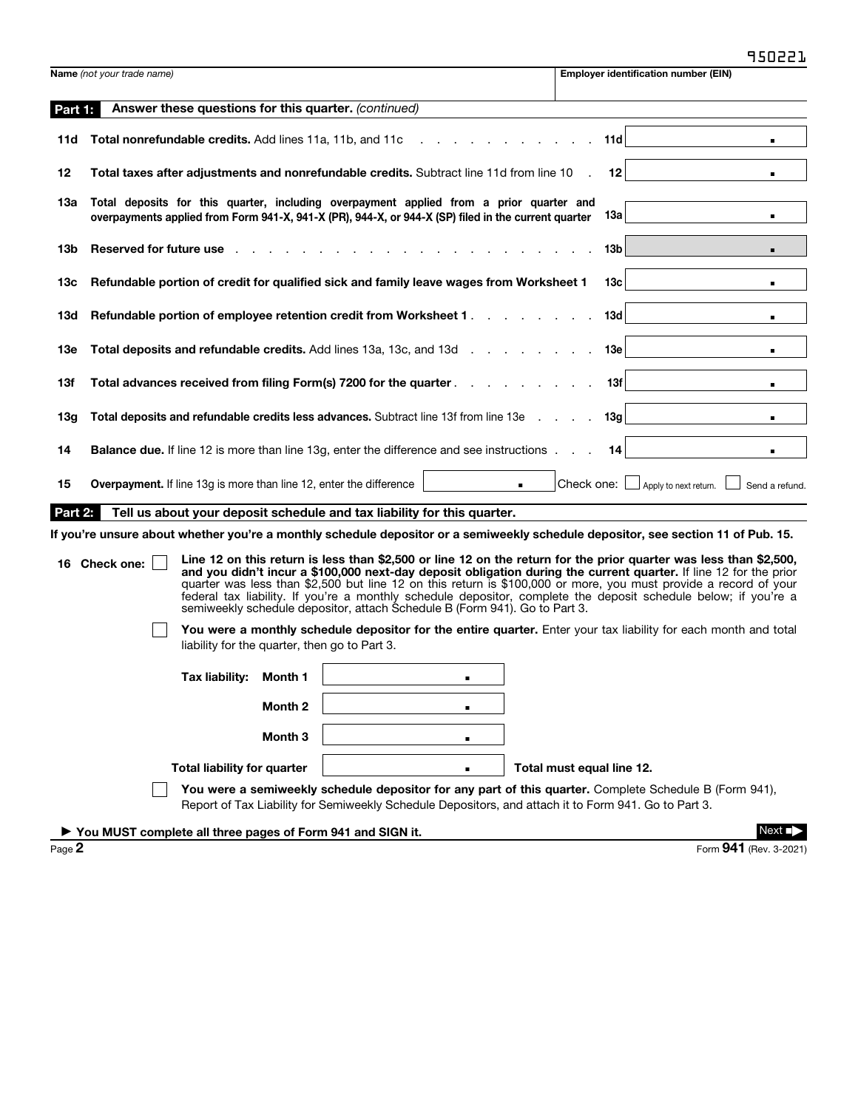|                                                                                                                                                                                                                                                                                                                                                                                                                                                                                                                                                                                                                                                                                                                                                                                                                                      |                                                          |                                               |                    |                                                                                                                                                                                                |                |  |                           |                                                                                                        | JJUCCJ                 |
|--------------------------------------------------------------------------------------------------------------------------------------------------------------------------------------------------------------------------------------------------------------------------------------------------------------------------------------------------------------------------------------------------------------------------------------------------------------------------------------------------------------------------------------------------------------------------------------------------------------------------------------------------------------------------------------------------------------------------------------------------------------------------------------------------------------------------------------|----------------------------------------------------------|-----------------------------------------------|--------------------|------------------------------------------------------------------------------------------------------------------------------------------------------------------------------------------------|----------------|--|---------------------------|--------------------------------------------------------------------------------------------------------|------------------------|
|                                                                                                                                                                                                                                                                                                                                                                                                                                                                                                                                                                                                                                                                                                                                                                                                                                      | Name (not your trade name)                               |                                               |                    |                                                                                                                                                                                                |                |  |                           | <b>Employer identification number (EIN)</b>                                                            |                        |
| Part 1:                                                                                                                                                                                                                                                                                                                                                                                                                                                                                                                                                                                                                                                                                                                                                                                                                              |                                                          |                                               |                    | Answer these questions for this quarter. (continued)                                                                                                                                           |                |  |                           |                                                                                                        |                        |
| 11d                                                                                                                                                                                                                                                                                                                                                                                                                                                                                                                                                                                                                                                                                                                                                                                                                                  | Total nonrefundable credits. Add lines 11a, 11b, and 11c |                                               |                    |                                                                                                                                                                                                |                |  | 11d                       |                                                                                                        |                        |
| 12                                                                                                                                                                                                                                                                                                                                                                                                                                                                                                                                                                                                                                                                                                                                                                                                                                   |                                                          |                                               |                    | Total taxes after adjustments and nonrefundable credits. Subtract line 11d from line 10                                                                                                        |                |  | $12 \,$                   |                                                                                                        |                        |
| 1За                                                                                                                                                                                                                                                                                                                                                                                                                                                                                                                                                                                                                                                                                                                                                                                                                                  |                                                          |                                               |                    | Total deposits for this quarter, including overpayment applied from a prior quarter and<br>overpayments applied from Form 941-X, 941-X (PR), 944-X, or 944-X (SP) filed in the current quarter |                |  | 13а                       |                                                                                                        | $\blacksquare$         |
| 13b                                                                                                                                                                                                                                                                                                                                                                                                                                                                                                                                                                                                                                                                                                                                                                                                                                  | Reserved for future use.                                 |                                               |                    |                                                                                                                                                                                                |                |  | 13b                       |                                                                                                        |                        |
| 13с                                                                                                                                                                                                                                                                                                                                                                                                                                                                                                                                                                                                                                                                                                                                                                                                                                  |                                                          |                                               |                    | Refundable portion of credit for qualified sick and family leave wages from Worksheet 1                                                                                                        |                |  | 13с                       |                                                                                                        | $\blacksquare$         |
| 13d                                                                                                                                                                                                                                                                                                                                                                                                                                                                                                                                                                                                                                                                                                                                                                                                                                  |                                                          |                                               |                    | Refundable portion of employee retention credit from Worksheet 1.                                                                                                                              |                |  | 13d                       |                                                                                                        |                        |
| 13e                                                                                                                                                                                                                                                                                                                                                                                                                                                                                                                                                                                                                                                                                                                                                                                                                                  |                                                          |                                               |                    | Total deposits and refundable credits. Add lines 13a, 13c, and 13d                                                                                                                             |                |  | 13e                       |                                                                                                        | п.                     |
| 13f                                                                                                                                                                                                                                                                                                                                                                                                                                                                                                                                                                                                                                                                                                                                                                                                                                  |                                                          |                                               |                    | Total advances received from filing Form(s) 7200 for the quarter.                                                                                                                              |                |  | 13f                       |                                                                                                        | $\blacksquare$         |
| 13g                                                                                                                                                                                                                                                                                                                                                                                                                                                                                                                                                                                                                                                                                                                                                                                                                                  |                                                          |                                               |                    | Total deposits and refundable credits less advances. Subtract line 13f from line 13e                                                                                                           |                |  | 13g                       |                                                                                                        | $\blacksquare$         |
| 14                                                                                                                                                                                                                                                                                                                                                                                                                                                                                                                                                                                                                                                                                                                                                                                                                                   |                                                          |                                               |                    | <b>Balance due.</b> If line 12 is more than line 13g, enter the difference and see instructions                                                                                                |                |  | 14                        |                                                                                                        |                        |
| 15                                                                                                                                                                                                                                                                                                                                                                                                                                                                                                                                                                                                                                                                                                                                                                                                                                   |                                                          |                                               |                    | <b>Overpayment.</b> If line 13g is more than line 12, enter the difference                                                                                                                     |                |  |                           | Check one: $\Box$ Apply to next return.                                                                | Send a refund.         |
| Part 2:                                                                                                                                                                                                                                                                                                                                                                                                                                                                                                                                                                                                                                                                                                                                                                                                                              |                                                          |                                               |                    | Tell us about your deposit schedule and tax liability for this quarter.                                                                                                                        |                |  |                           |                                                                                                        |                        |
| If you're unsure about whether you're a monthly schedule depositor or a semiweekly schedule depositor, see section 11 of Pub. 15.<br>Line 12 on this return is less than \$2,500 or line 12 on the return for the prior quarter was less than \$2,500,<br>16 Check one:<br>and you didn't incur a \$100,000 next-day deposit obligation during the current quarter. If line 12 for the prior<br>quarter was less than \$2,500 but line 12 on this return is \$100,000 or more, you must provide a record of your<br>federal tax liability. If you're a monthly schedule depositor, complete the deposit schedule below; if you're a<br>semiweekly schedule depositor, attach Schedule B (Form 941). Go to Part 3.<br>You were a monthly schedule depositor for the entire quarter. Enter your tax liability for each month and total |                                                          |                                               |                    |                                                                                                                                                                                                |                |  |                           |                                                                                                        |                        |
|                                                                                                                                                                                                                                                                                                                                                                                                                                                                                                                                                                                                                                                                                                                                                                                                                                      |                                                          | liability for the quarter, then go to Part 3. |                    |                                                                                                                                                                                                |                |  |                           |                                                                                                        |                        |
|                                                                                                                                                                                                                                                                                                                                                                                                                                                                                                                                                                                                                                                                                                                                                                                                                                      |                                                          | Tax liability: Month 1                        |                    |                                                                                                                                                                                                | ٠              |  |                           |                                                                                                        |                        |
|                                                                                                                                                                                                                                                                                                                                                                                                                                                                                                                                                                                                                                                                                                                                                                                                                                      |                                                          |                                               | Month <sub>2</sub> |                                                                                                                                                                                                | $\blacksquare$ |  |                           |                                                                                                        |                        |
|                                                                                                                                                                                                                                                                                                                                                                                                                                                                                                                                                                                                                                                                                                                                                                                                                                      |                                                          |                                               | Month 3            |                                                                                                                                                                                                | п              |  |                           |                                                                                                        |                        |
|                                                                                                                                                                                                                                                                                                                                                                                                                                                                                                                                                                                                                                                                                                                                                                                                                                      |                                                          | <b>Total liability for quarter</b>            |                    |                                                                                                                                                                                                |                |  | Total must equal line 12. |                                                                                                        |                        |
|                                                                                                                                                                                                                                                                                                                                                                                                                                                                                                                                                                                                                                                                                                                                                                                                                                      |                                                          |                                               |                    | Report of Tax Liability for Semiweekly Schedule Depositors, and attach it to Form 941. Go to Part 3.                                                                                           |                |  |                           | You were a semiweekly schedule depositor for any part of this quarter. Complete Schedule B (Form 941), |                        |
|                                                                                                                                                                                                                                                                                                                                                                                                                                                                                                                                                                                                                                                                                                                                                                                                                                      |                                                          |                                               |                    | ▶ You MUST complete all three pages of Form 941 and SIGN it.                                                                                                                                   |                |  |                           |                                                                                                        | Next                   |
| Page 2                                                                                                                                                                                                                                                                                                                                                                                                                                                                                                                                                                                                                                                                                                                                                                                                                               |                                                          |                                               |                    |                                                                                                                                                                                                |                |  |                           |                                                                                                        | Form 941 (Rev. 3-2021) |